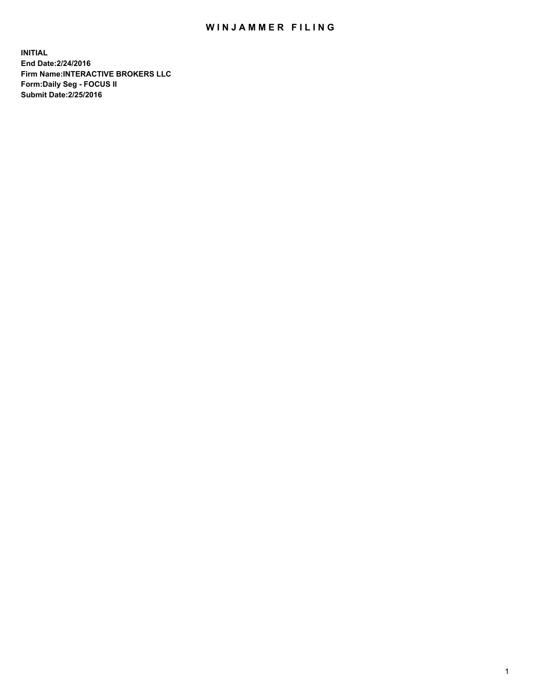## WIN JAMMER FILING

**INITIAL End Date:2/24/2016 Firm Name:INTERACTIVE BROKERS LLC Form:Daily Seg - FOCUS II Submit Date:2/25/2016**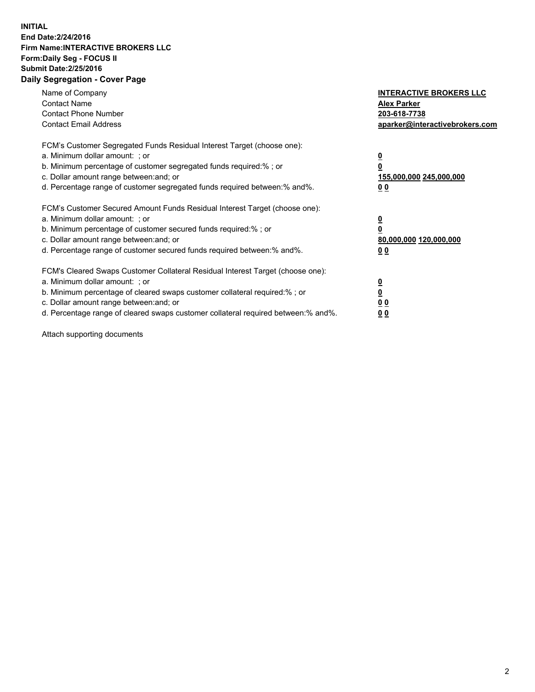## **INITIAL End Date:2/24/2016 Firm Name:INTERACTIVE BROKERS LLC Form:Daily Seg - FOCUS II Submit Date:2/25/2016 Daily Segregation - Cover Page**

| Name of Company<br><b>Contact Name</b><br><b>Contact Phone Number</b><br><b>Contact Email Address</b>                                                                                                                                                                                                                         | <b>INTERACTIVE BROKERS LLC</b><br><b>Alex Parker</b><br>203-618-7738<br>aparker@interactivebrokers.com |
|-------------------------------------------------------------------------------------------------------------------------------------------------------------------------------------------------------------------------------------------------------------------------------------------------------------------------------|--------------------------------------------------------------------------------------------------------|
| FCM's Customer Segregated Funds Residual Interest Target (choose one):<br>a. Minimum dollar amount: ; or<br>b. Minimum percentage of customer segregated funds required:% ; or<br>c. Dollar amount range between: and; or<br>d. Percentage range of customer segregated funds required between:% and%.                        | <u>0</u><br>155,000,000 245,000,000<br>0 <sub>0</sub>                                                  |
| FCM's Customer Secured Amount Funds Residual Interest Target (choose one):<br>a. Minimum dollar amount: ; or<br>b. Minimum percentage of customer secured funds required:%; or<br>c. Dollar amount range between: and; or<br>d. Percentage range of customer secured funds required between: % and %.                         | <u>0</u><br>80,000,000 120,000,000<br><u>00</u>                                                        |
| FCM's Cleared Swaps Customer Collateral Residual Interest Target (choose one):<br>a. Minimum dollar amount: ; or<br>b. Minimum percentage of cleared swaps customer collateral required:%; or<br>c. Dollar amount range between: and; or<br>d. Percentage range of cleared swaps customer collateral required between:% and%. | <u>0</u><br>0 <sub>0</sub><br>0 <sub>0</sub>                                                           |

Attach supporting documents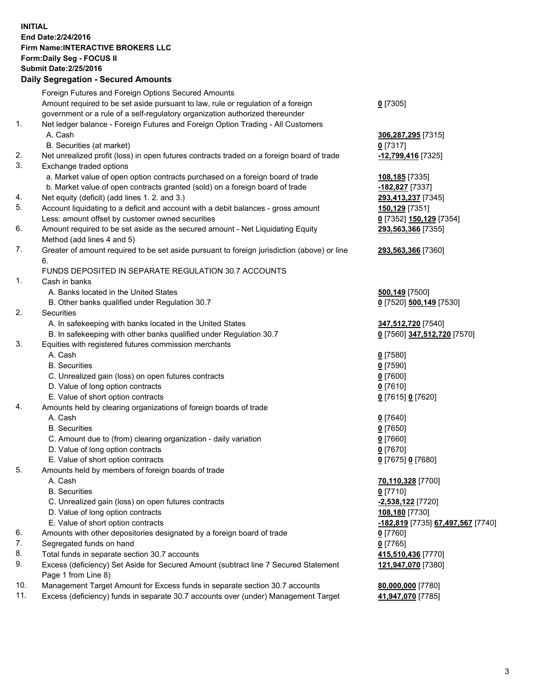## **INITIAL End Date:2/24/2016 Firm Name:INTERACTIVE BROKERS LLC Form:Daily Seg - FOCUS II Submit Date:2/25/2016 Daily Segregation - Secured Amounts**

|     | Dany Ocgregation - Oceanea Amounts                                                          |                                   |
|-----|---------------------------------------------------------------------------------------------|-----------------------------------|
|     | Foreign Futures and Foreign Options Secured Amounts                                         |                                   |
|     | Amount required to be set aside pursuant to law, rule or regulation of a foreign            | $0$ [7305]                        |
|     | government or a rule of a self-regulatory organization authorized thereunder                |                                   |
| 1.  | Net ledger balance - Foreign Futures and Foreign Option Trading - All Customers             |                                   |
|     | A. Cash                                                                                     | 306,287,295 [7315]                |
|     | B. Securities (at market)                                                                   | $0$ [7317]                        |
| 2.  |                                                                                             |                                   |
|     | Net unrealized profit (loss) in open futures contracts traded on a foreign board of trade   | -12,799,416 [7325]                |
| 3.  | Exchange traded options                                                                     |                                   |
|     | a. Market value of open option contracts purchased on a foreign board of trade              | 108,185 [7335]                    |
|     | b. Market value of open contracts granted (sold) on a foreign board of trade                | -182,827 [7337]                   |
| 4.  | Net equity (deficit) (add lines 1.2. and 3.)                                                | 293,413,237 [7345]                |
| 5.  | Account liquidating to a deficit and account with a debit balances - gross amount           | <b>150,129</b> [7351]             |
|     | Less: amount offset by customer owned securities                                            | 0 [7352] 150,129 [7354]           |
| 6.  | Amount required to be set aside as the secured amount - Net Liquidating Equity              | 293,563,366 [7355]                |
|     | Method (add lines 4 and 5)                                                                  |                                   |
| 7.  | Greater of amount required to be set aside pursuant to foreign jurisdiction (above) or line | 293,563,366 [7360]                |
|     | 6.                                                                                          |                                   |
|     | FUNDS DEPOSITED IN SEPARATE REGULATION 30.7 ACCOUNTS                                        |                                   |
| 1.  | Cash in banks                                                                               |                                   |
|     | A. Banks located in the United States                                                       |                                   |
|     |                                                                                             | <b>500,149</b> [7500]             |
| 2.  | B. Other banks qualified under Regulation 30.7                                              | 0 [7520] 500,149 [7530]           |
|     | <b>Securities</b>                                                                           |                                   |
|     | A. In safekeeping with banks located in the United States                                   | 347,512,720 [7540]                |
|     | B. In safekeeping with other banks qualified under Regulation 30.7                          | 0 [7560] 347,512,720 [7570]       |
| 3.  | Equities with registered futures commission merchants                                       |                                   |
|     | A. Cash                                                                                     | $0$ [7580]                        |
|     | <b>B.</b> Securities                                                                        | $0$ [7590]                        |
|     | C. Unrealized gain (loss) on open futures contracts                                         | $0$ [7600]                        |
|     | D. Value of long option contracts                                                           | $0$ [7610]                        |
|     | E. Value of short option contracts                                                          | 0 [7615] 0 [7620]                 |
| 4.  | Amounts held by clearing organizations of foreign boards of trade                           |                                   |
|     | A. Cash                                                                                     | $0$ [7640]                        |
|     | <b>B.</b> Securities                                                                        | $0$ [7650]                        |
|     | C. Amount due to (from) clearing organization - daily variation                             | $0$ [7660]                        |
|     | D. Value of long option contracts                                                           | $0$ [7670]                        |
|     | E. Value of short option contracts                                                          | 0 [7675] 0 [7680]                 |
| 5.  | Amounts held by members of foreign boards of trade                                          |                                   |
|     | A. Cash                                                                                     | 70,110,328 [7700]                 |
|     | <b>B.</b> Securities                                                                        | $0$ [7710]                        |
|     | C. Unrealized gain (loss) on open futures contracts                                         | -2,538,122 [7720]                 |
|     |                                                                                             |                                   |
|     | D. Value of long option contracts                                                           | 108,180 [7730]                    |
|     | E. Value of short option contracts                                                          | -182,819 [7735] 67,497,567 [7740] |
| 6.  | Amounts with other depositories designated by a foreign board of trade                      | $0$ [7760]                        |
| 7.  | Segregated funds on hand                                                                    | $0$ [7765]                        |
| 8.  | Total funds in separate section 30.7 accounts                                               | 415,510,436 [7770]                |
| 9.  | Excess (deficiency) Set Aside for Secured Amount (subtract line 7 Secured Statement         | 121,947,070 [7380]                |
|     | Page 1 from Line 8)                                                                         |                                   |
| 10. | Management Target Amount for Excess funds in separate section 30.7 accounts                 | 80,000,000 [7780]                 |
| 11. | Excess (deficiency) funds in separate 30.7 accounts over (under) Management Target          | 41,947,070 [7785]                 |
|     |                                                                                             |                                   |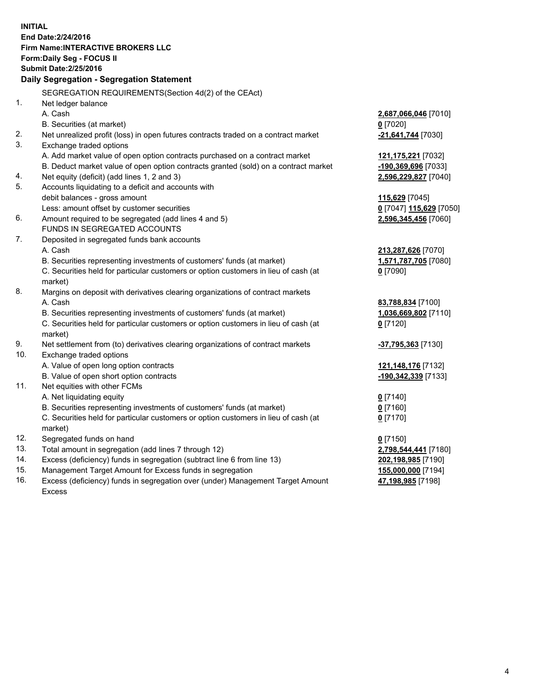**INITIAL End Date:2/24/2016 Firm Name:INTERACTIVE BROKERS LLC Form:Daily Seg - FOCUS II Submit Date:2/25/2016 Daily Segregation - Segregation Statement** SEGREGATION REQUIREMENTS(Section 4d(2) of the CEAct) 1. Net ledger balance A. Cash **2,687,066,046** [7010] B. Securities (at market) **0** [7020] 2. Net unrealized profit (loss) in open futures contracts traded on a contract market **-21,641,744** [7030] 3. Exchange traded options A. Add market value of open option contracts purchased on a contract market **121,175,221** [7032] B. Deduct market value of open option contracts granted (sold) on a contract market **-190,369,696** [7033] 4. Net equity (deficit) (add lines 1, 2 and 3) **2,596,229,827** [7040] 5. Accounts liquidating to a deficit and accounts with debit balances - gross amount **115,629** [7045] Less: amount offset by customer securities **0** [7047] **115,629** [7050] 6. Amount required to be segregated (add lines 4 and 5) **2,596,345,456** [7060] FUNDS IN SEGREGATED ACCOUNTS 7. Deposited in segregated funds bank accounts A. Cash **213,287,626** [7070] B. Securities representing investments of customers' funds (at market) **1,571,787,705** [7080] C. Securities held for particular customers or option customers in lieu of cash (at market) **0** [7090] 8. Margins on deposit with derivatives clearing organizations of contract markets A. Cash **83,788,834** [7100] B. Securities representing investments of customers' funds (at market) **1,036,669,802** [7110] C. Securities held for particular customers or option customers in lieu of cash (at market) **0** [7120] 9. Net settlement from (to) derivatives clearing organizations of contract markets **-37,795,363** [7130] 10. Exchange traded options A. Value of open long option contracts **121,148,176** [7132] B. Value of open short option contracts **-190,342,339** [7133] 11. Net equities with other FCMs A. Net liquidating equity **0** [7140] B. Securities representing investments of customers' funds (at market) **0** [7160] C. Securities held for particular customers or option customers in lieu of cash (at market) **0** [7170] 12. Segregated funds on hand **0** [7150] 13. Total amount in segregation (add lines 7 through 12) **2,798,544,441** [7180] 14. Excess (deficiency) funds in segregation (subtract line 6 from line 13) **202,198,985** [7190] 15. Management Target Amount for Excess funds in segregation **155,000,000** [7194] **47,198,985** [7198]

16. Excess (deficiency) funds in segregation over (under) Management Target Amount Excess